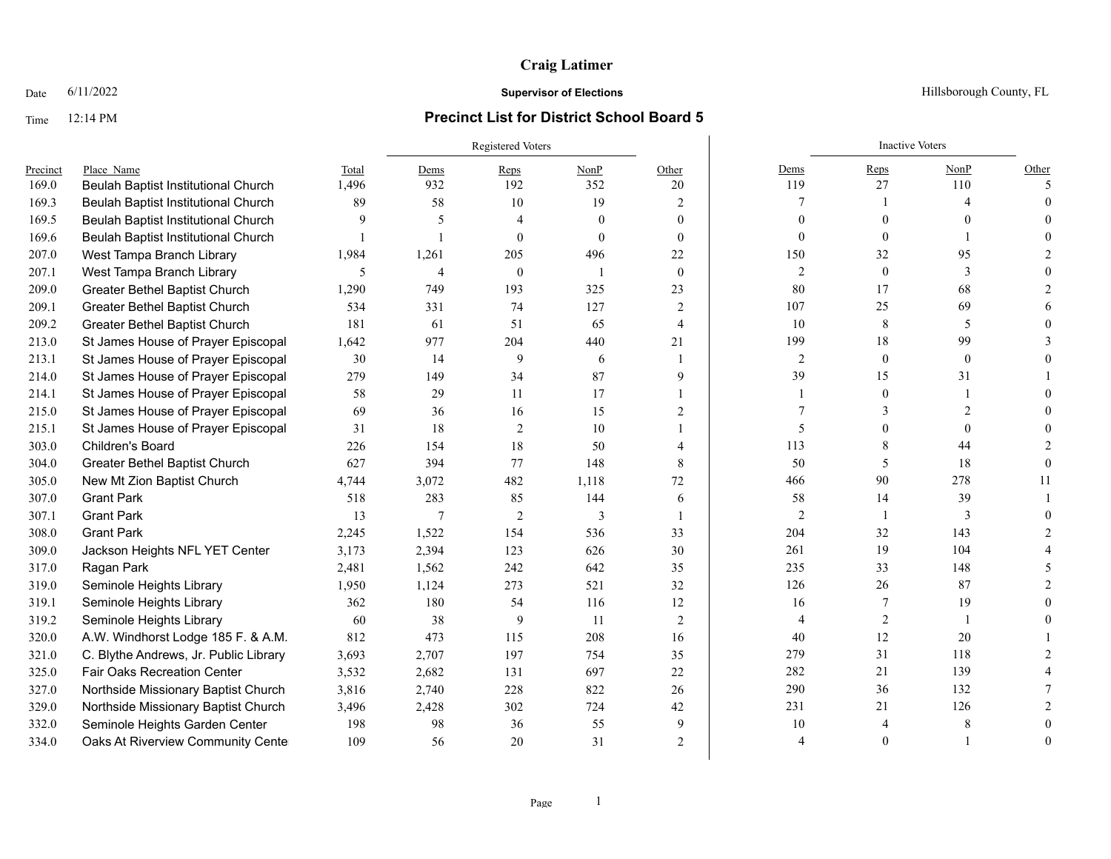## Time 12:14 PM **Precinct List for District School Board 5**

# Registered Voters **Inactive Voters** Inactive Voters **Inactive Voters** Precinct Place\_Name Total Dems Reps NonP Other Dems Reps NonP Other 169.0 Beulah Baptist Institutional Church 1,496 932 192 352 20 119 27 110 5 169.3 Beulah Baptist Institutional Church 89 58 10 19 2 7 1 4 0 169.5 Beulah Baptist Institutional Church 9 5 4 0 0 0 0 0 0 169.6 Beulah Baptist Institutional Church 1 1 1 0 0 0 0 0 0 0 0 0 1 0 0 207.0 West Tampa Branch Library 1,984 1,261 205 496 22 150 32 95 2 207.1 West Tampa Branch Library 5 5 4 0 1 0 2 0 3 0 209.0 Greater Bethel Baptist Church 1,290 749 193 325 23 80 17 68 2 209.1 Greater Bethel Baptist Church 534 331 74 127 2 107 25 69 6 209.2 Greater Bethel Baptist Church 181 61 51 65 4 10 8 5 0 213.0 St James House of Prayer Episcopal 1,642 977 204 440 21 99 18 99 3 213.1 St James House of Prayer Episcopal 30 14 9 6 1 2 0 0 0 214.0 St James House of Prayer Episcopal 279 149 34 87 9 39 15 31 1 214.1 St James House of Prayer Episcopal 58 29 11 17 1 1 1 17 1 1 0 1 0 215.0 St James House of Prayer Episcopal 69 36 16 15 2 7 3 2 0 215.1 St James House of Prayer Episcopal 31 18 2 10 1 5 0 0 0 303.0 Children's Board 226 154 18 50 4 | 113 8 44 2 304.0 Greater Bethel Baptist Church 627 394 77 148 8 50 5 18 0 305.0 New Mt Zion Baptist Church 4,744 3,072 482 1,118 72 466 90 278 11 307.0 Grant Park 518 283 85 144 6 58 14 39 1 307.1 Grant Park 13 7 2 3 1 2 1 3 0 308.0 Grant Park 2,245 1,522 154 536 33 204 32 143 2 309.0 Jackson Heights NFL YET Center 3,173 2,394 123 626 30 261 19 104 4 317.0 Ragan Park 2,481 1,562 242 642 35 33 148 5 319.0 Seminole Heights Library 1,950 1,124 273 521 32 126 26 87 2 319.1 Seminole Heights Library 362 180 54 116 12 16 7 19 0 319.2 Seminole Heights Library 60 38 9 11 2 4 2 1 0 320.0 A.W. Windhorst Lodge 185 F. & A.M. 812 473 115 208 16 40 12 20 1 321.0 C. Blythe Andrews, Jr. Public Library 3,693 2,707 197 754 35 279 31 118 2 325.0 Fair Oaks Recreation Center  $3.532$   $2.682$  131 697 22 282 21 139 4 327.0 Northside Missionary Baptist Church 3,816 2,740 228 822 26 290 36 132 7 329.0 Northside Missionary Baptist Church 3,496 2,428 302 724 42 231 21 126 2 332.0 Seminole Heights Garden Center 198 98 36 55 9 10 4 8 0 334.0 Oaks At Riverview Community Cente  $109$  56 20 31 2 4 4 0 1 0

### **Date** 6/11/2022 **Supervisor of Elections Supervisor of Elections** Hillsborough County, FL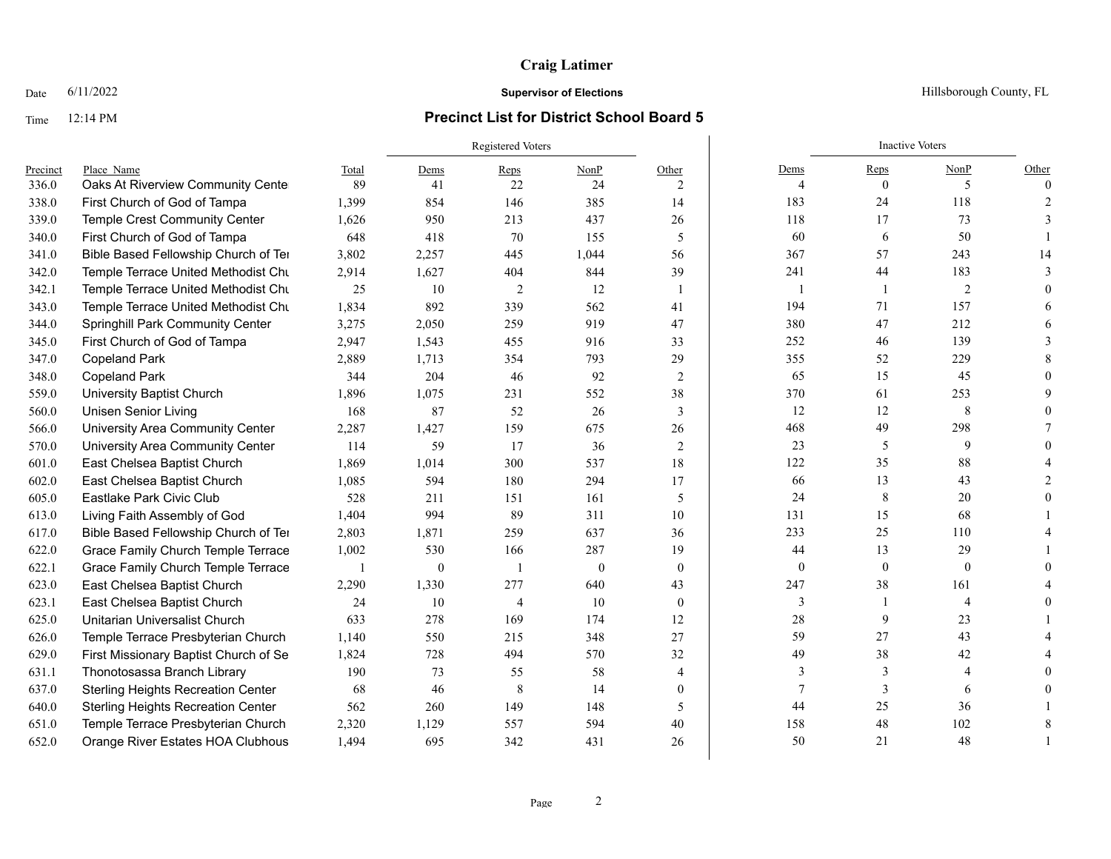## Time 12:14 PM **Precinct List for District School Board 5**

Registered Voters **Inactive Voters** Inactive Voters **Inactive Voters** Precinct Place\_Name Some State Total Dems Reps NonP Other Dems Reps NonP Other Dems Reps NonP Other 336.0 Oaks At Riverview Community Center  $89$   $41$   $22$   $24$   $2$   $2$   $4$   $4$   $0$   $5$   $5$  0 338.0 First Church of God of Tampa 1,399 854 146 385 14 183 24 118 2 339.0 Temple Crest Community Center 1,626 950 213 437 26 118 17 73 3 340.0 First Church of God of Tampa 648 418 70 155 5 60 6 50 1 341.0 Bible Based Fellowship Church of Ter 3,802 2,257 445 1,044 56 367 57 243 14 342.0 Temple Terrace United Methodist Church 2,914 1,627 404 844 39 241 44 183 3 342.1 Temple Terrace United Methodist Church 25 10 2 12 1 1 1 1 2 0 343.0 Temple Terrace United Methodist Church 1,834 892 339 562 41 194 71 157 6 344.0 Springhill Park Community Center 3,275 2,050 259 919 47 380 47 212 6 345.0 First Church of God of Tampa 2,947 1,543 455 916 33 3 252 46 139 3 347.0 Copeland Park 2,889 1,713 354 793 29 355 52 229 8 348.0 Copeland Park 344 204 46 92 2 | 65 15 45 0 559.0 University Baptist Church 1,896 1,075 231 552 38 370 61 253 9 560.0 Unisen Senior Living 168 87 52 26 3 12 12 8 0 566.0 University Area Community Center 2,287 1,427 159 675 26 468 49 298 7 570.0 University Area Community Center 114 59 17 36 2 2 3 5 9 0 601.0 East Chelsea Baptist Church 1,869 1,014 300 537 18 122 35 88 4 602.0 East Chelsea Baptist Church 1,085 594 180 294 17 66 13 43 2 605.0 Eastlake Park Civic Club 528 211 151 161 5 24 8 20 0 613.0 Living Faith Assembly of God 1,404 994 89 311 10 131 131 15 68 1 617.0 Bible Based Fellowship Church of Temple Terrace 2,803 1,871 259 637 36 233 25 110 4 622.0 Grace Family Church Temple Terrace 1,002 530 166 287 19 44 13 29 1 622.1 Grace Family Church Temple Terrace 1 0 1 0 0 0 0 0 0 623.0 East Chelsea Baptist Church 2,290 1,330 277 640 43 247 38 161 4 623.1 East Chelsea Baptist Church 24 10 4 10 0 3 1 4 0 625.0 Unitarian Universalist Church 633 278 169 174 12 28 9 23 1 626.0 Temple Terrace Presbyterian Church 1,140 550 215 348 27 348 59 27 43 4 629.0 First Missionary Baptist Church of Se  $1,824$   $728$   $494$   $570$   $32$   $49$   $49$   $38$   $42$   $42$ 631.1 Thonotosassa Branch Library 190 73 55 58 4 3 3 4 0 637.0 Sterling Heights Recreation Center 68 46 8 14 0 7 3 6 0 640.0 Sterling Heights Recreation Center 562 260 149 148 5 44 25 36 1 651.0 Temple Terrace Presbyterian Church 2,320 1,129 557 594 40 158 48 102 8 652.0 Orange River Estates HOA Clubhous 1,494 695 342 431 26 50 21 48 1

### **Date** 6/11/2022 **Supervisor of Elections Supervisor of Elections** Hillsborough County, FL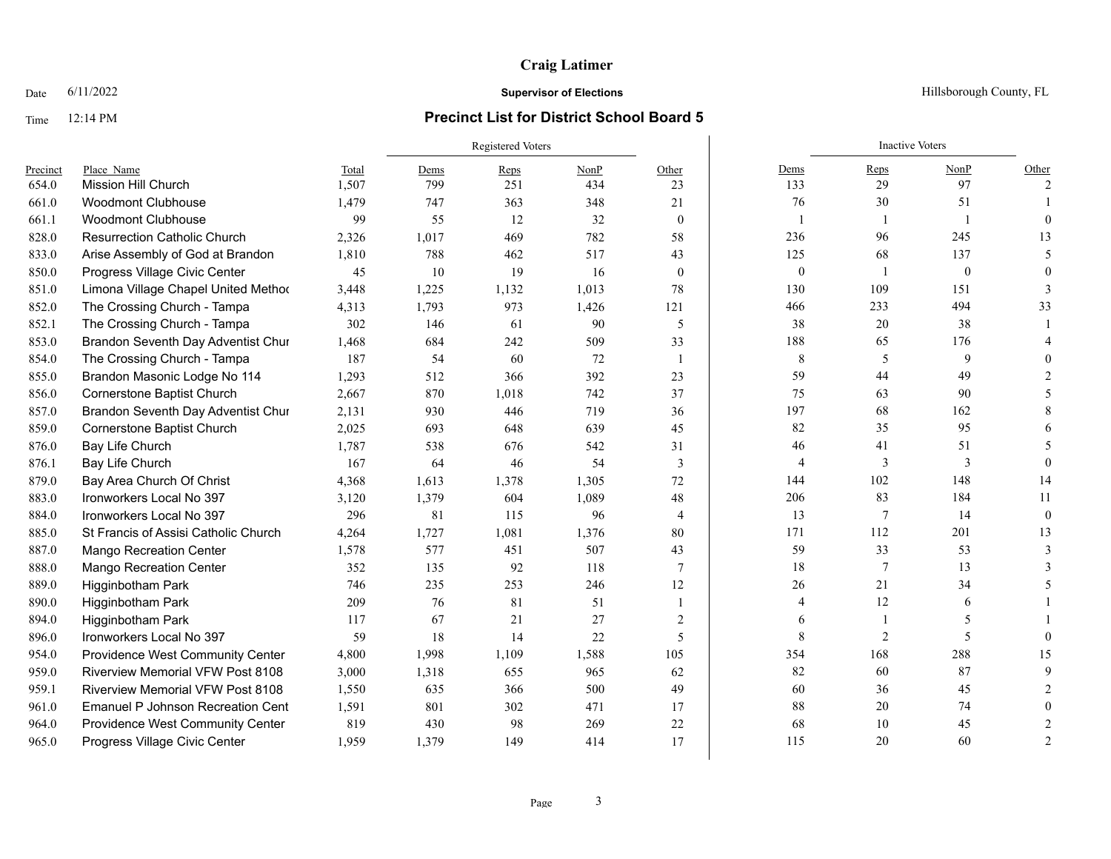# Time 12:14 PM **Precinct List for District School Board 5**

|          |                                          |       | Registered Voters |       |       |                |                | <b>Inactive Voters</b> |              |               |
|----------|------------------------------------------|-------|-------------------|-------|-------|----------------|----------------|------------------------|--------------|---------------|
| Precinct | Place Name                               | Total | Dems              | Reps  | NonP  | Other          | Dems           | Reps                   | NonP         | Other         |
| 654.0    | <b>Mission Hill Church</b>               | 1,507 | 799               | 251   | 434   | 23             | 133            | 29                     | 97           | $\mathcal{L}$ |
| 661.0    | <b>Woodmont Clubhouse</b>                | 1,479 | 747               | 363   | 348   | 21             | 76             | 30                     | 51           |               |
| 661.1    | <b>Woodmont Clubhouse</b>                | 99    | 55                | 12    | 32    | $\mathbf{0}$   |                |                        |              | $\Omega$      |
| 828.0    | <b>Resurrection Catholic Church</b>      | 2,326 | 1,017             | 469   | 782   | 58             | 236            | 96                     | 245          | 13            |
| 833.0    | Arise Assembly of God at Brandon         | 1,810 | 788               | 462   | 517   | 43             | 125            | 68                     | 137          |               |
| 850.0    | Progress Village Civic Center            | 45    | 10                | 19    | 16    | $\overline{0}$ | $\mathbf{0}$   |                        | $\mathbf{0}$ |               |
| 851.0    | Limona Village Chapel United Method      | 3,448 | 1,225             | 1,132 | 1,013 | 78             | 130            | 109                    | 151          |               |
| 852.0    | The Crossing Church - Tampa              | 4,313 | 1,793             | 973   | 1,426 | 121            | 466            | 233                    | 494          | 33            |
| 852.1    | The Crossing Church - Tampa              | 302   | 146               | 61    | 90    | 5              | 38             | 20                     | 38           |               |
| 853.0    | Brandon Seventh Day Adventist Chur       | 1,468 | 684               | 242   | 509   | 33             | 188            | 65                     | 176          |               |
| 854.0    | The Crossing Church - Tampa              | 187   | 54                | 60    | 72    | $\mathbf{1}$   | $\,8\,$        | 5                      | 9            |               |
| 855.0    | Brandon Masonic Lodge No 114             | 1,293 | 512               | 366   | 392   | 23             | 59             | 44                     | 49           |               |
| 856.0    | <b>Cornerstone Baptist Church</b>        | 2,667 | 870               | 1,018 | 742   | 37             | 75             | 63                     | 90           |               |
| 857.0    | Brandon Seventh Day Adventist Chur       | 2,131 | 930               | 446   | 719   | 36             | 197            | 68                     | 162          |               |
| 859.0    | Cornerstone Baptist Church               | 2,025 | 693               | 648   | 639   | 45             | 82             | 35                     | 95           |               |
| 876.0    | Bay Life Church                          | 1,787 | 538               | 676   | 542   | 31             | 46             | 41                     | 51           |               |
| 876.1    | Bay Life Church                          | 167   | 64                | 46    | 54    | 3              | $\overline{4}$ | 3                      | 3            | $\Omega$      |
| 879.0    | Bay Area Church Of Christ                | 4,368 | 1,613             | 1,378 | 1,305 | 72             | 144            | 102                    | 148          | 14            |
| 883.0    | Ironworkers Local No 397                 | 3,120 | 1,379             | 604   | 1,089 | 48             | 206            | 83                     | 184          | 11            |
| 884.0    | Ironworkers Local No 397                 | 296   | 81                | 115   | 96    | $\overline{4}$ | 13             | 7                      | 14           | $\Omega$      |
| 885.0    | St Francis of Assisi Catholic Church     | 4,264 | 1,727             | 1,081 | 1,376 | 80             | 171            | 112                    | 201          | 13            |
| 887.0    | <b>Mango Recreation Center</b>           | 1,578 | 577               | 451   | 507   | 43             | 59             | 33                     | 53           |               |
| 888.0    | <b>Mango Recreation Center</b>           | 352   | 135               | 92    | 118   | 7              | 18             | $7\phantom{.0}$        | 13           |               |
| 889.0    | <b>Higginbotham Park</b>                 | 746   | 235               | 253   | 246   | 12             | 26             | 21                     | 34           |               |
| 890.0    | Higginbotham Park                        | 209   | 76                | 81    | 51    |                | 4              | 12                     | 6            |               |
| 894.0    | Higginbotham Park                        | 117   | 67                | 21    | 27    | $\overline{2}$ | 6              |                        | 5            |               |
| 896.0    | Ironworkers Local No 397                 | 59    | 18                | 14    | 22    | 5              | $\,8\,$        | $\overline{2}$         | 5            |               |
| 954.0    | Providence West Community Center         | 4,800 | 1,998             | 1,109 | 1,588 | 105            | 354            | 168                    | 288          | 15            |
| 959.0    | <b>Riverview Memorial VFW Post 8108</b>  | 3,000 | 1,318             | 655   | 965   | 62             | 82             | 60                     | 87           |               |
| 959.1    | <b>Riverview Memorial VFW Post 8108</b>  | 1,550 | 635               | 366   | 500   | 49             | 60             | 36                     | 45           |               |
| 961.0    | <b>Emanuel P Johnson Recreation Cent</b> | 1,591 | 801               | 302   | 471   | 17             | 88             | 20                     | 74           |               |
| 964.0    | Providence West Community Center         | 819   | 430               | 98    | 269   | 22             | 68             | 10                     | 45           | 2             |
| 965.0    | Progress Village Civic Center            | 1,959 | 1,379             | 149   | 414   | 17             | 115            | 20                     | 60           | $\mathcal{D}$ |

Date  $6/11/2022$  Hillsborough County, FL